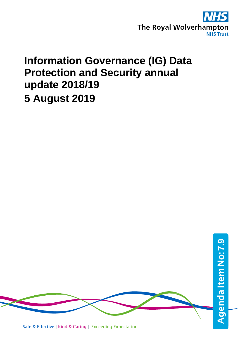

# **Information Governance (IG) Data Protection and Security annual update 2018/19 5 August 2019**

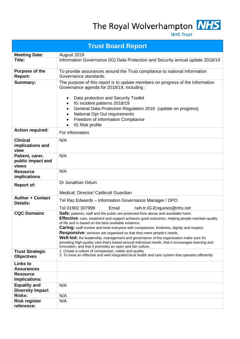The Royal Wolverhampton NHS

**NHS Trust** 

| <b>Trust Board Report</b>                      |                                                                                                                                                                                                                                                                                                                                                                                                                                                                                                                                                                                                                                                                                     |  |  |  |  |  |
|------------------------------------------------|-------------------------------------------------------------------------------------------------------------------------------------------------------------------------------------------------------------------------------------------------------------------------------------------------------------------------------------------------------------------------------------------------------------------------------------------------------------------------------------------------------------------------------------------------------------------------------------------------------------------------------------------------------------------------------------|--|--|--|--|--|
| <b>Meeting Date:</b>                           | August 2019                                                                                                                                                                                                                                                                                                                                                                                                                                                                                                                                                                                                                                                                         |  |  |  |  |  |
| Title:                                         | Information Governance (IG) Data Protection and Security annual update 2018/19                                                                                                                                                                                                                                                                                                                                                                                                                                                                                                                                                                                                      |  |  |  |  |  |
| <b>Purpose of the</b><br><b>Report:</b>        | To provide assurances around the Trust compliance to national Information<br>Governance standards.                                                                                                                                                                                                                                                                                                                                                                                                                                                                                                                                                                                  |  |  |  |  |  |
| Summary:                                       | The purpose of this report is to update members on progress of the Information<br>Governance agenda for 2018/19, including:<br>Data protection and Security Toolkit<br>٠<br>IG incident patterns 2018/19<br>$\bullet$<br>General Data Protection Regulation 2016 (update on progress)<br>$\bullet$<br>National Opt Out requirements<br>$\bullet$<br>Freedom of Information Compliance<br>$\bullet$<br>IG Risk profile<br>$\bullet$                                                                                                                                                                                                                                                  |  |  |  |  |  |
| <b>Action required:</b>                        | For information                                                                                                                                                                                                                                                                                                                                                                                                                                                                                                                                                                                                                                                                     |  |  |  |  |  |
| <b>Clinical</b><br>implications and<br>view    | N/A                                                                                                                                                                                                                                                                                                                                                                                                                                                                                                                                                                                                                                                                                 |  |  |  |  |  |
| Patient, carer,<br>public impact and<br>views  | N/A                                                                                                                                                                                                                                                                                                                                                                                                                                                                                                                                                                                                                                                                                 |  |  |  |  |  |
| <b>Resource</b><br>implications                | N/A                                                                                                                                                                                                                                                                                                                                                                                                                                                                                                                                                                                                                                                                                 |  |  |  |  |  |
| <b>Report of:</b>                              | Dr Jonathan Odum<br>Medical: Director/ Caldicott Guardian                                                                                                                                                                                                                                                                                                                                                                                                                                                                                                                                                                                                                           |  |  |  |  |  |
| <b>Author + Contact</b><br><b>Details:</b>     | Tel Raz Edwards - Information Governance Manager / DPO<br>Tel 01902 307999<br>Email<br>rwh-tr.IG-Enquiries@nhs.net                                                                                                                                                                                                                                                                                                                                                                                                                                                                                                                                                                  |  |  |  |  |  |
| <b>CQC Domains</b>                             | Safe: patients, staff and the public are protected from abuse and avoidable harm.<br>Effective: care, treatment and support achieves good outcomes, helping people maintain quality<br>of life and is based on the best available evidence.<br>Caring: staff involve and treat everyone with compassion, kindness, dignity and respect.<br><b>Responsive:</b> services are organised so that they meet people's needs.<br>Well-led: the leadership, management and governance of the organisation make sure it's<br>providing high-quality care that's based around individual needs, that it encourages learning and<br>innovation, and that it promotes an open and fair culture. |  |  |  |  |  |
| <b>Trust Strategic</b><br><b>Objectives</b>    | 1. Create a culture of compassion, safety and quality<br>3. To have an effective and well integrated local health and care system that operates efficiently                                                                                                                                                                                                                                                                                                                                                                                                                                                                                                                         |  |  |  |  |  |
| <b>Links to</b><br><b>Assurances</b>           |                                                                                                                                                                                                                                                                                                                                                                                                                                                                                                                                                                                                                                                                                     |  |  |  |  |  |
| <b>Resource</b><br>Implications:               |                                                                                                                                                                                                                                                                                                                                                                                                                                                                                                                                                                                                                                                                                     |  |  |  |  |  |
| <b>Equality and</b><br><b>Diversity Impact</b> | N/A                                                                                                                                                                                                                                                                                                                                                                                                                                                                                                                                                                                                                                                                                 |  |  |  |  |  |
| Risks:                                         | N/A                                                                                                                                                                                                                                                                                                                                                                                                                                                                                                                                                                                                                                                                                 |  |  |  |  |  |
| <b>Risk register</b><br>reference:             | N/A                                                                                                                                                                                                                                                                                                                                                                                                                                                                                                                                                                                                                                                                                 |  |  |  |  |  |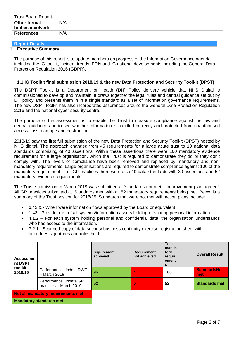| <b>Trust Board Report</b>               |     |
|-----------------------------------------|-----|
| <b>Other formal</b><br>bodies involved: | N/A |
| <b>References</b>                       | N/A |

**Report Details** 

# 1. **Executive Summary**

The purpose of this report is to update members on progress of the Information Governance agenda, including the IG toolkit, incident trends, FOIs and IG national developments including the General Data Protection Regulation 2016 (GDPR).

# **1.1 IG Toolkit final submission 2018/19 & the new Data Protection and Security Toolkit (DPST)**

The DSPT Toolkit is a Department of Health (DH) Policy delivery vehicle that NHS Digital is commissioned to develop and maintain. It draws together the legal rules and central guidance set out by DH policy and presents them in in a single standard as a set of information governance requirements. The new DSPT toolkit has also incorporated assurances around the General Data Protection Regulation 2016 and the national cyber security centre.

The purpose of the assessment is to enable the Trust to measure compliance against the law and central guidance and to see whether information is handled correctly and protected from unauthorised access, loss, damage and destruction.

2018/19 saw the first full submission of the new Data Protection and Security Toolkit (DPST) hosted by NHS digital. The approach changed from 45 requirements for a large acute trust to 10 national data standards comprising of 40 assertions. Within these assertions there were 100 mandatory evidence requirement for a large organisation, which the Trust is required to demonstrate they do or they don't comply with. The levels of compliance have been removed and replaced by mandatory and nonmandatory requirements. Large organisations are required to demonstrate compliance against 100 of the mandatory requirement. For GP practices there were also 10 data standards with 30 assertions and 52 mandatory evidence requirements

The Trust submission in March 2019 was submitted at 'standards not met – improvement plan agreed'. All GP practices submitted at 'Standards met' with all 52 mandatory requirements being met. Below is a summary of the Trust position for 2018/19. Standards that were not met with action plans include:

- **1**.42 & When were information flows approved by the Board or equivalent.
- 1.43 Provide a list of all systems/information assets holding or sharing personal information**.**
- 4.1.2 For each system holding personal and confidential data, the organisation understands who has access to the information.
- 7.2.1 Scanned copy of data security business continuity exercise registration sheet with attendees signatures and roles held.

| <b>Assessme</b><br>nt DSPT<br>toolkit<br>2018/19 |                                                 | requirement<br>achieved | <b>Requirement</b><br>not achieved | <b>Total</b><br>manda<br>tory<br>requir<br>ement<br>s | <b>Overall Result</b>      |
|--------------------------------------------------|-------------------------------------------------|-------------------------|------------------------------------|-------------------------------------------------------|----------------------------|
|                                                  | Performance Update RWT<br>$-$ March 2019        | 96                      | 4                                  | 100                                                   | <b>StandardsNot</b><br>met |
|                                                  | Performance Update GP<br>practices - March 2019 | 52                      | $\bf{0}$                           | 52                                                    | <b>Standards met</b>       |
| Not all mandatory requirements met               |                                                 |                         |                                    |                                                       |                            |
| <b>Mandatory standards met</b>                   |                                                 |                         |                                    |                                                       |                            |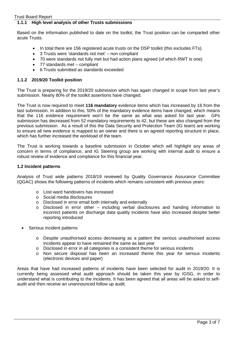# **1.1.1 High level analysis of other Trusts submissions**

Based on the information published to date on the toolkit, the Trust position can be comparted other acute Trusts.

- In total there are 156 registered acute trusts on the DSP toolkit (this excludes FTs).
- 3 Trusts were 'standards not met' non compliant
- 70 were standards not fully met but had action plans agreed (of which RWT is one)
- 77 standards met compliant
- 6 Trusts submitted as standards exceeded

#### **1.1.2 2019/20 Toolkit position**

The Trust is preparing for the 2019/20 submission which has again changed in scope from last year's submission. Nearly 80% of the toolkit assertions have changed.

The Trust is now required to meet **116 mandatory** evidence items which has increased by 16 from the last submission. In addition to this, 50% of the mandatory evidence items have changed, which means that the 116 evidence requirement won't be the same as what was asked for last year. GPs submission has decreased from 52 mandatory requirements to 42, but these are also changed from the previous submission. As a result of this the Data Security and Protection Team (IG team) are working to ensure all new evidence is mapped to an owner and there is an agreed reporting structure in place, which has further increased the workload of the team.

The Trust is working towards a baseline submission in October which will highlight any areas of concern in terms of compliance, and IG Steering group are working with internal audit to ensure a robust review of evidence and compliance for this financial year.

#### **1.2 Incident patterns**

Analysis of Trust wide patterns 2018/19 reviewed by Quality Governance Assurance Committee (QGAC) shows the following patterns of incidents which remains consistent with previous years:

- o Lost ward handovers has increased
- o Social media disclosures
- o Disclosed in error email both internally and externally
- o Disclosed in error other including verbal disclosures and handing information to incorrect patients on discharge data quality incidents have also increased despite better reporting introduced
- Serious incident patterns
	- o Despite unauthorised access decreasing as a pattern the serious unauthorised access incidents appear to have remained the same as last year
	- $\circ$  Disclosed in error in all categories is a consistent theme for serious incidents
	- o Non secure disposal has been an increased theme this year for serious incidents (electronic devices and paper)

Areas that have had increased patterns of incidents have been selected for audit in 2019/20. It is currently being assessed what audit approach should be taken this year by IGSG, in order to understand what is contributing to the incidents. It has been agreed that all areas will be asked to selfaudit and then receive an unannounced follow up audit.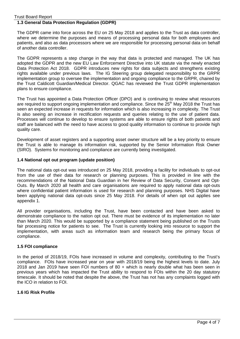# **1.3 General Data Protection Regulation (GDPR)**

The GDPR came into force across the EU on 25 May 2018 and applies to the Trust as data controller, where we determine the purposes and means of processing personal data for both employees and patients, and also as data processors where we are responsible for processing personal data on behalf of another data controller.

The GDPR represents a step change in the way that data is protected and managed. The UK has adopted the GDPR and the new EU Law Enforcement Directive into UK statute via the newly enacted Data Protection Act 2018. GDPR introduces new rights for data subjects and strengthens existing rights available under previous laws. The IG Steering group delegated responsibility to the GRPR implementation group to oversee the implementation and ongoing compliance to the GRPR, chaired by the Trust Caldicott Guardian/Medical Director. QGAC has reviewed the Trust GDPR implementation plans to ensure compliance.

The Trust has appointed a Data Protection Officer (DPO) and is continuing to review what resources are required to support ongoing implementation and compliance. Since the  $25<sup>th</sup>$  May 2018 the Trust has seen an expected increase in requests for information which is also increasing in complexity. The Trust is also seeing an increase in rectification requests and queries relating to the use of patient data. Processes will continue to develop to ensure systems are able to ensure rights of both patients and staff are balanced with the need to have access to good quality information to continue to provide high quality care.

Development of asset registers and a supporting asset owner structure will be a key priority to ensure the Trust is able to manage its information risk, supported by the Senior Information Risk Owner (SIRO). Systems for monitoring and compliance are currently being investigated.

#### **1.4 National opt out program (update position)**

The national data opt-out was introduced on 25 May 2018, providing a facility for individuals to opt-out from the use of their data for research or planning purposes. This is provided in line with the recommendations of the National Data Guardian in her Review of Data Security, Consent and Opt-Outs. By March 2020 all health and care organisations are required to apply national data opt-outs where confidential patient information is used for research and planning purposes. NHS Digital have been applying national data opt-outs since 25 May 2018. For details of when opt out applies see appendix 1.

All provider organisations, including the Trust, have been contacted and have been asked to demonstrate compliance to the nation opt out. There must be evidence of its implementation no later than March 2020. This would be supported by a compliance statement being published on the Trusts fair processing notice for patients to see. The Trust is currently looking into resource to support the implementation, with areas such as information team and research being the primary focus of compliance.

## **1.5 FOI compliance**

In the period of 2018/19, FOIs have increased in volume and complexity, contributing to the Trust's compliance. FOIs have increased year on year with 2018/19 being the highest levels to date. July 2018 and Jan 2019 have seen FOI numbers of 80 + which is nearly double what has been seen in previous years which has impacted the Trust ability to respond to FOIs within the 20 day statutory timescale. It should be noted that despite the above, the Trust has not has any complaints logged with the ICO in relation to FOI.

#### **1.6 IG Risk Profile**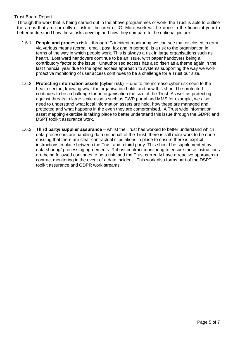Through the work that is being carried out in the above programmes of work, the Trust is able to outline the areas that are currently of risk in the area of IG. More work will be done in the financial year to better understand how these risks develop and how they compare to the national picture.

- 1.6.1 **People and process risk** through IG incident monitoring we can see that disclosed in error via various means (verbal, email, post, fax and in person), is a risk to the organisation in terms of the way in which people work. This is always a risk in large organisations such as health. Lost ward handovers continue to be an issue, with paper handovers being a contributory factor to the issue. Unauthorised access has also risen as a theme again in the last financial year due to the open access approach to systems supporting the way we work; proactive monitoring of user access continues to be a challenge for a Trust our size.
- 1.6.2 **Protecting information assets (cyber risk) –** due to the increase cyber risk seen to the health sector , knowing what the organisation holds and how this should be protected continues to be a challenge for an organisation the size of the Trust. As well as protecting against threats to large scale assets such as CWP portal and MMS for example, we also need to understand what local information assets are held, how these are managed and protected and what happens in the even they are compromised. A Trust wide information asset mapping exercise is taking place to better understand this issue through the GDPR and DSPT toolkit assurance work.
- 1.6.3 **Third party/ supplier assurance** whilst the Trust has worked to better understand which data processors are handling data on behalf of the Trust, there is still more work to be done ensuing that there are clear contractual stipulations in place to ensure there is explicit instructions in place between the Trust and a third party. This should be supplemented by data sharing/ processing agreements. Robust contract monitoring to ensure these instructions are being followed continues to be a risk, and the Trust currently have a reactive approach to contract monitoring in the event of a data incident. This work also forms part of the DSPT toolkit assurance and GDPR work streams.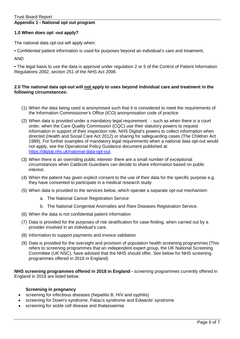# **Appendix 1 - National opt out program**

#### **1.0 When does opt -out apply?**

The national data opt-out will apply when:

• Confidential patient information is used for purposes beyond an individual's care and treatment,

AND

• The legal basis to use the data is approval under regulation 2 or 5 of the Control of Patient Information Regulations 2002, section 251 of the NHS Act 2006

## **2.0 The national data opt-out will not apply to uses beyond individual care and treatment in the following circumstances:**

- (1) When the data being used is anonymised such that it is considered to meet the requirements of the Information Commissioner's Office (ICO) anonymisation code of practice
- (2) When data is provided under a mandatory legal requirement. such as when there is a court order, when the Care Quality Commission (CQC) use their statutory powers to request information in support of their inspection role, NHS Digital's powers to collect information when directed (Health and Social Care Act 2012) or sharing for safeguarding cases (The Children Act 1989). For further examples of mandatory legal requirements when a national data opt-out would not apply, see the Operational Policy Guidance document published at: [https://digital.nhs.uk/national-data-opt-out.](https://digital.nhs.uk/national-data-opt-out)
- (3) When there is an overriding public interest- there are a small number of exceptional circumstances when Caldicott Guardians can decide to share information based on public interest.
- (4) When the patient has given explicit consent to the use of their data for the specific purpose e.g. they have consented to participate in a medical research study
- (5) When data is provided to the services below, which operate a separate opt-out mechanism:
	- a. The National Cancer Registration Service
	- b. The National Congenital Anomalies and Rare Diseases Registration Service.
- (6) When the data is not confidential patient information
- (7) Data is provided for the purposes of risk stratification for case-finding, when carried out by a provider involved in an individual's care.
- (8) Information to support payments and invoice validation
- (9) Data is provided for the oversight and provision of population health screening programmes (This refers to screening programmes that an independent expert group, the UK National Screening Committee (UK NSC), have advised that the NHS should offer. See below for NHS screening programmes offered in 2018 in England)

**NHS screening programmes offered in 2018 in England -** screening programmes currently offered in England in 2018 are listed below.

## **Screening in pregnancy**

- screening for infectious diseases (hepatitis B, HIV and syphilis)
- screening for Down's syndrome, Patau's syndrome and Edwards' syndrome
- screening for sickle cell disease and thalassaemia